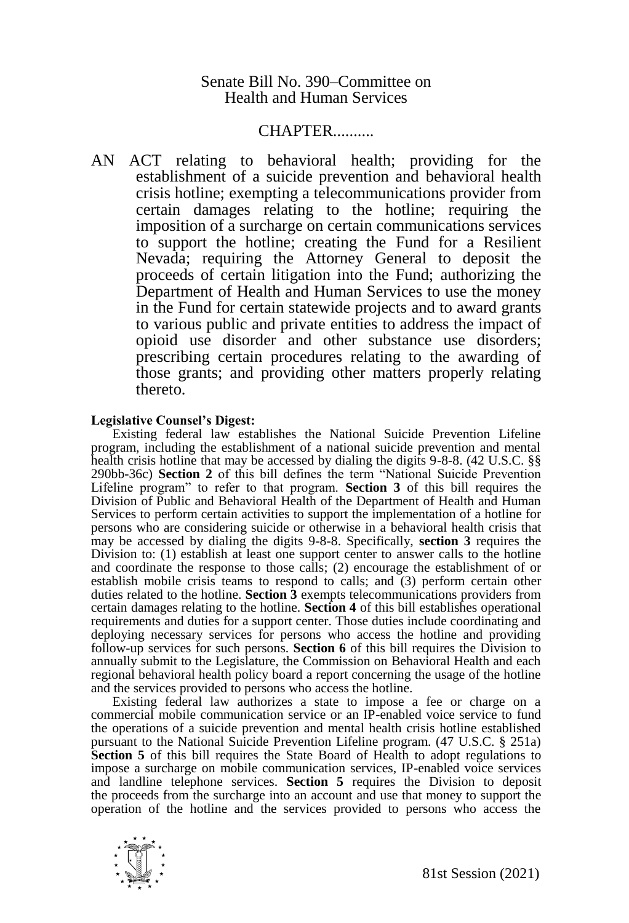## CHAPTER..........

AN ACT relating to behavioral health; providing for the establishment of a suicide prevention and behavioral health crisis hotline; exempting a telecommunications provider from certain damages relating to the hotline; requiring the imposition of a surcharge on certain communications services to support the hotline; creating the Fund for a Resilient Nevada; requiring the Attorney General to deposit the proceeds of certain litigation into the Fund; authorizing the Department of Health and Human Services to use the money in the Fund for certain statewide projects and to award grants to various public and private entities to address the impact of opioid use disorder and other substance use disorders; prescribing certain procedures relating to the awarding of those grants; and providing other matters properly relating thereto.

## **Legislative Counsel's Digest:**

Existing federal law establishes the National Suicide Prevention Lifeline program, including the establishment of a national suicide prevention and mental health crisis hotline that may be accessed by dialing the digits 9-8-8. (42 U.S.C. §§ 290bb-36c) **Section 2** of this bill defines the term "National Suicide Prevention Lifeline program" to refer to that program. **Section 3** of this bill requires the Division of Public and Behavioral Health of the Department of Health and Human Services to perform certain activities to support the implementation of a hotline for persons who are considering suicide or otherwise in a behavioral health crisis that may be accessed by dialing the digits 9-8-8. Specifically, **section 3** requires the Division to: (1) establish at least one support center to answer calls to the hotline and coordinate the response to those calls; (2) encourage the establishment of or establish mobile crisis teams to respond to calls; and (3) perform certain other duties related to the hotline. **Section 3** exempts telecommunications providers from certain damages relating to the hotline. **Section 4** of this bill establishes operational requirements and duties for a support center. Those duties include coordinating and deploying necessary services for persons who access the hotline and providing follow-up services for such persons. **Section 6** of this bill requires the Division to annually submit to the Legislature, the Commission on Behavioral Health and each regional behavioral health policy board a report concerning the usage of the hotline and the services provided to persons who access the hotline.

Existing federal law authorizes a state to impose a fee or charge on a commercial mobile communication service or an IP-enabled voice service to fund the operations of a suicide prevention and mental health crisis hotline established pursuant to the National Suicide Prevention Lifeline program. (47 U.S.C. § 251a) **Section 5** of this bill requires the State Board of Health to adopt regulations to impose a surcharge on mobile communication services, IP-enabled voice services and landline telephone services. **Section 5** requires the Division to deposit the proceeds from the surcharge into an account and use that money to support the operation of the hotline and the services provided to persons who access the

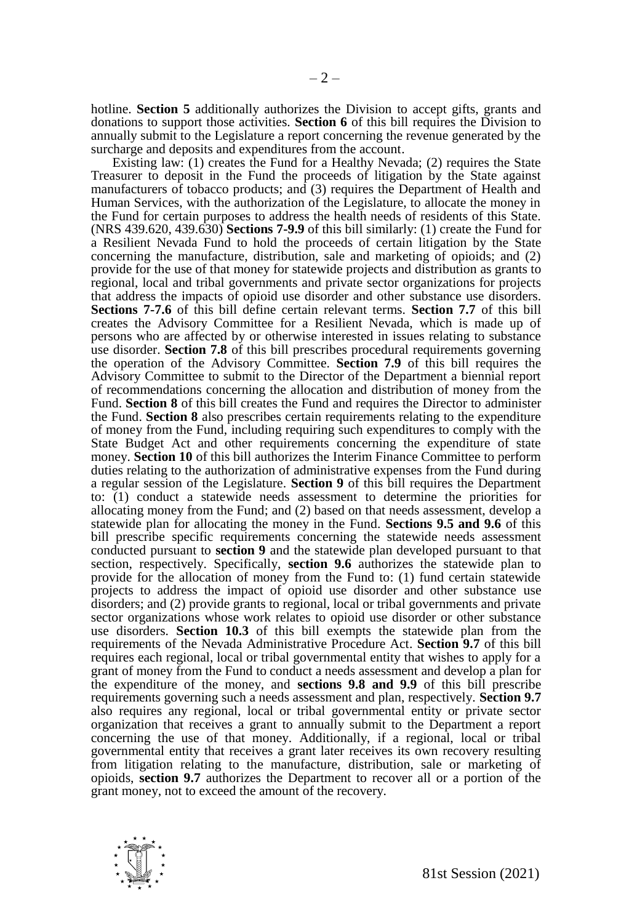hotline. **Section 5** additionally authorizes the Division to accept gifts, grants and donations to support those activities. **Section 6** of this bill requires the Division to annually submit to the Legislature a report concerning the revenue generated by the surcharge and deposits and expenditures from the account.

Existing law: (1) creates the Fund for a Healthy Nevada; (2) requires the State Treasurer to deposit in the Fund the proceeds of litigation by the State against manufacturers of tobacco products; and (3) requires the Department of Health and Human Services, with the authorization of the Legislature, to allocate the money in the Fund for certain purposes to address the health needs of residents of this State. (NRS 439.620, 439.630) **Sections 7-9.9** of this bill similarly: (1) create the Fund for a Resilient Nevada Fund to hold the proceeds of certain litigation by the State concerning the manufacture, distribution, sale and marketing of opioids; and (2) provide for the use of that money for statewide projects and distribution as grants to regional, local and tribal governments and private sector organizations for projects that address the impacts of opioid use disorder and other substance use disorders. **Sections 7-7.6** of this bill define certain relevant terms. **Section 7.7** of this bill creates the Advisory Committee for a Resilient Nevada, which is made up of persons who are affected by or otherwise interested in issues relating to substance use disorder. **Section 7.8** of this bill prescribes procedural requirements governing the operation of the Advisory Committee. **Section 7.9** of this bill requires the Advisory Committee to submit to the Director of the Department a biennial report of recommendations concerning the allocation and distribution of money from the Fund. **Section 8** of this bill creates the Fund and requires the Director to administer the Fund. **Section 8** also prescribes certain requirements relating to the expenditure of money from the Fund, including requiring such expenditures to comply with the State Budget Act and other requirements concerning the expenditure of state money. **Section 10** of this bill authorizes the Interim Finance Committee to perform duties relating to the authorization of administrative expenses from the Fund during a regular session of the Legislature. **Section 9** of this bill requires the Department to: (1) conduct a statewide needs assessment to determine the priorities for allocating money from the Fund; and (2) based on that needs assessment, develop a statewide plan for allocating the money in the Fund. **Sections 9.5 and 9.6** of this bill prescribe specific requirements concerning the statewide needs assessment conducted pursuant to **section 9** and the statewide plan developed pursuant to that section, respectively. Specifically, **section 9.6** authorizes the statewide plan to provide for the allocation of money from the Fund to: (1) fund certain statewide projects to address the impact of opioid use disorder and other substance use disorders; and (2) provide grants to regional, local or tribal governments and private sector organizations whose work relates to opioid use disorder or other substance use disorders. **Section 10.3** of this bill exempts the statewide plan from the requirements of the Nevada Administrative Procedure Act. **Section 9.7** of this bill requires each regional, local or tribal governmental entity that wishes to apply for a grant of money from the Fund to conduct a needs assessment and develop a plan for the expenditure of the money, and **sections 9.8 and 9.9** of this bill prescribe requirements governing such a needs assessment and plan, respectively. **Section 9.7** also requires any regional, local or tribal governmental entity or private sector organization that receives a grant to annually submit to the Department a report concerning the use of that money. Additionally, if a regional, local or tribal governmental entity that receives a grant later receives its own recovery resulting from litigation relating to the manufacture, distribution, sale or marketing of opioids, **section 9.7** authorizes the Department to recover all or a portion of the grant money, not to exceed the amount of the recovery.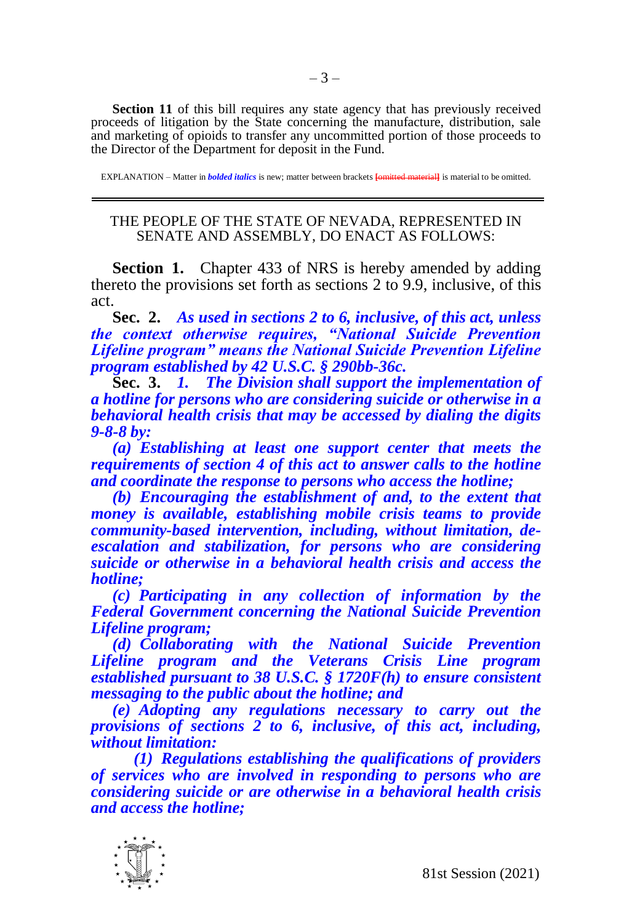**Section 11** of this bill requires any state agency that has previously received proceeds of litigation by the State concerning the manufacture, distribution, sale and marketing of opioids to transfer any uncommitted portion of those proceeds to the Director of the Department for deposit in the Fund.

EXPLANATION – Matter in *bolded italics* is new; matter between brackets **[**omitted material**]** is material to be omitted.

## THE PEOPLE OF THE STATE OF NEVADA, REPRESENTED IN SENATE AND ASSEMBLY, DO ENACT AS FOLLOWS:

**Section 1.** Chapter 433 of NRS is hereby amended by adding thereto the provisions set forth as sections 2 to 9.9, inclusive, of this act.

**Sec. 2.** *As used in sections 2 to 6, inclusive, of this act, unless the context otherwise requires, "National Suicide Prevention Lifeline program" means the National Suicide Prevention Lifeline program established by 42 U.S.C. § 290bb-36c.*

**Sec. 3.** *1. The Division shall support the implementation of a hotline for persons who are considering suicide or otherwise in a behavioral health crisis that may be accessed by dialing the digits 9-8-8 by:*

*(a) Establishing at least one support center that meets the requirements of section 4 of this act to answer calls to the hotline and coordinate the response to persons who access the hotline;*

*(b) Encouraging the establishment of and, to the extent that money is available, establishing mobile crisis teams to provide community-based intervention, including, without limitation, deescalation and stabilization, for persons who are considering suicide or otherwise in a behavioral health crisis and access the hotline;* 

*(c) Participating in any collection of information by the Federal Government concerning the National Suicide Prevention Lifeline program;* 

*(d) Collaborating with the National Suicide Prevention Lifeline program and the Veterans Crisis Line program established pursuant to 38 U.S.C. § 1720F(h) to ensure consistent messaging to the public about the hotline; and*

*(e) Adopting any regulations necessary to carry out the provisions of sections 2 to 6, inclusive, of this act, including, without limitation:*

*(1) Regulations establishing the qualifications of providers of services who are involved in responding to persons who are considering suicide or are otherwise in a behavioral health crisis and access the hotline;* 

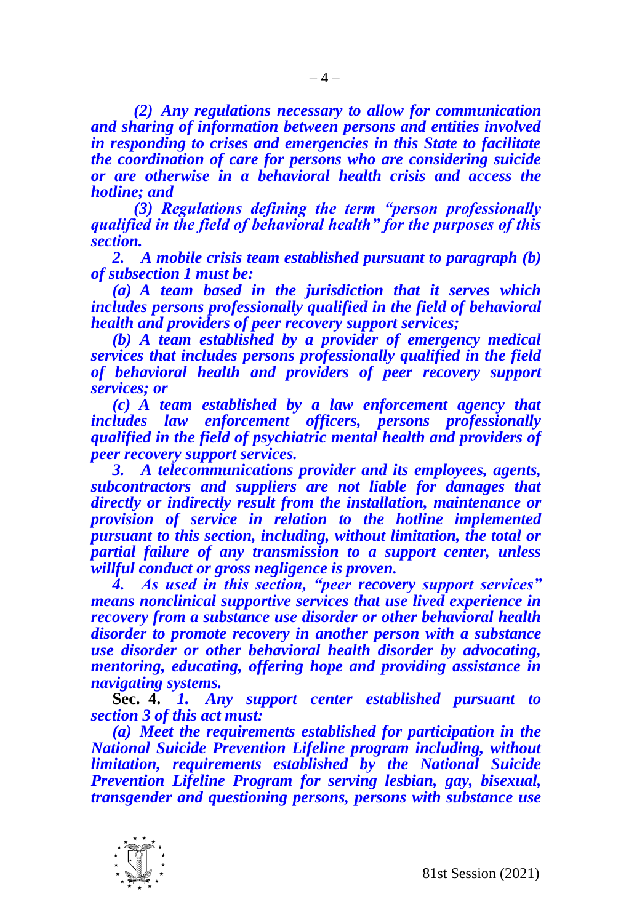*(2) Any regulations necessary to allow for communication and sharing of information between persons and entities involved in responding to crises and emergencies in this State to facilitate the coordination of care for persons who are considering suicide or are otherwise in a behavioral health crisis and access the hotline; and*

*(3) Regulations defining the term "person professionally qualified in the field of behavioral health" for the purposes of this section.*

*2. A mobile crisis team established pursuant to paragraph (b) of subsection 1 must be:*

*(a) A team based in the jurisdiction that it serves which includes persons professionally qualified in the field of behavioral health and providers of peer recovery support services;*

*(b) A team established by a provider of emergency medical services that includes persons professionally qualified in the field of behavioral health and providers of peer recovery support services; or*

*(c) A team established by a law enforcement agency that includes law enforcement officers, persons professionally qualified in the field of psychiatric mental health and providers of peer recovery support services.* 

*3. A telecommunications provider and its employees, agents, subcontractors and suppliers are not liable for damages that directly or indirectly result from the installation, maintenance or provision of service in relation to the hotline implemented pursuant to this section, including, without limitation, the total or partial failure of any transmission to a support center, unless willful conduct or gross negligence is proven.*

*4. As used in this section, "peer recovery support services" means nonclinical supportive services that use lived experience in recovery from a substance use disorder or other behavioral health disorder to promote recovery in another person with a substance use disorder or other behavioral health disorder by advocating, mentoring, educating, offering hope and providing assistance in navigating systems.*

**Sec. 4.** *1. Any support center established pursuant to section 3 of this act must:*

*(a) Meet the requirements established for participation in the National Suicide Prevention Lifeline program including, without limitation, requirements established by the National Suicide Prevention Lifeline Program for serving lesbian, gay, bisexual, transgender and questioning persons, persons with substance use* 

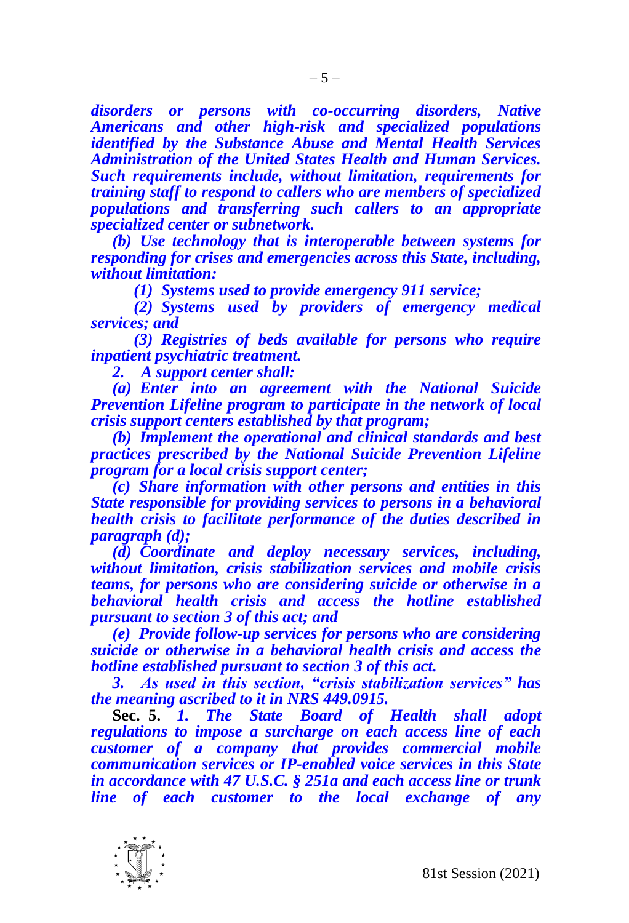*disorders or persons with co-occurring disorders, Native Americans and other high-risk and specialized populations identified by the Substance Abuse and Mental Health Services Administration of the United States Health and Human Services. Such requirements include, without limitation, requirements for training staff to respond to callers who are members of specialized populations and transferring such callers to an appropriate specialized center or subnetwork.* 

*(b) Use technology that is interoperable between systems for responding for crises and emergencies across this State, including, without limitation:*

*(1) Systems used to provide emergency 911 service;*

*(2) Systems used by providers of emergency medical services; and*

*(3) Registries of beds available for persons who require inpatient psychiatric treatment.*

*2. A support center shall:*

*(a) Enter into an agreement with the National Suicide Prevention Lifeline program to participate in the network of local crisis support centers established by that program;*

*(b) Implement the operational and clinical standards and best practices prescribed by the National Suicide Prevention Lifeline program for a local crisis support center;*

*(c) Share information with other persons and entities in this State responsible for providing services to persons in a behavioral health crisis to facilitate performance of the duties described in paragraph (d);*

*(d) Coordinate and deploy necessary services, including, without limitation, crisis stabilization services and mobile crisis teams, for persons who are considering suicide or otherwise in a behavioral health crisis and access the hotline established pursuant to section 3 of this act; and*

*(e) Provide follow-up services for persons who are considering suicide or otherwise in a behavioral health crisis and access the hotline established pursuant to section 3 of this act.*

*3. As used in this section, "crisis stabilization services" has the meaning ascribed to it in NRS 449.0915.*

**Sec. 5.** *1. The State Board of Health shall adopt regulations to impose a surcharge on each access line of each customer of a company that provides commercial mobile communication services or IP-enabled voice services in this State in accordance with 47 U.S.C. § 251a and each access line or trunk line of each customer to the local exchange of any* 

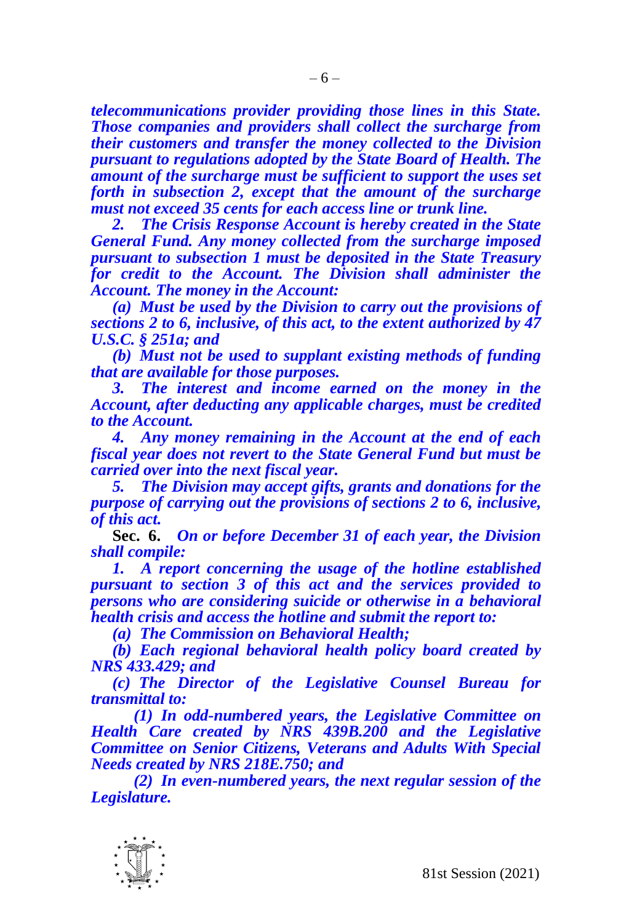*telecommunications provider providing those lines in this State. Those companies and providers shall collect the surcharge from their customers and transfer the money collected to the Division pursuant to regulations adopted by the State Board of Health. The amount of the surcharge must be sufficient to support the uses set forth in subsection 2, except that the amount of the surcharge must not exceed 35 cents for each access line or trunk line.*

*2. The Crisis Response Account is hereby created in the State General Fund. Any money collected from the surcharge imposed pursuant to subsection 1 must be deposited in the State Treasury for credit to the Account. The Division shall administer the Account. The money in the Account:*

*(a) Must be used by the Division to carry out the provisions of sections 2 to 6, inclusive, of this act, to the extent authorized by 47 U.S.C. § 251a; and*

*(b) Must not be used to supplant existing methods of funding that are available for those purposes.*

*3. The interest and income earned on the money in the Account, after deducting any applicable charges, must be credited to the Account.*

*4. Any money remaining in the Account at the end of each fiscal year does not revert to the State General Fund but must be carried over into the next fiscal year.*

*5. The Division may accept gifts, grants and donations for the purpose of carrying out the provisions of sections 2 to 6, inclusive, of this act.* 

**Sec. 6.** *On or before December 31 of each year, the Division shall compile:*

*1. A report concerning the usage of the hotline established pursuant to section 3 of this act and the services provided to persons who are considering suicide or otherwise in a behavioral health crisis and access the hotline and submit the report to:*

*(a) The Commission on Behavioral Health;*

*(b) Each regional behavioral health policy board created by NRS 433.429; and*

*(c) The Director of the Legislative Counsel Bureau for transmittal to:*

*(1) In odd-numbered years, the Legislative Committee on Health Care created by NRS 439B.200 and the Legislative Committee on Senior Citizens, Veterans and Adults With Special Needs created by NRS 218E.750; and*

*(2) In even-numbered years, the next regular session of the Legislature.*

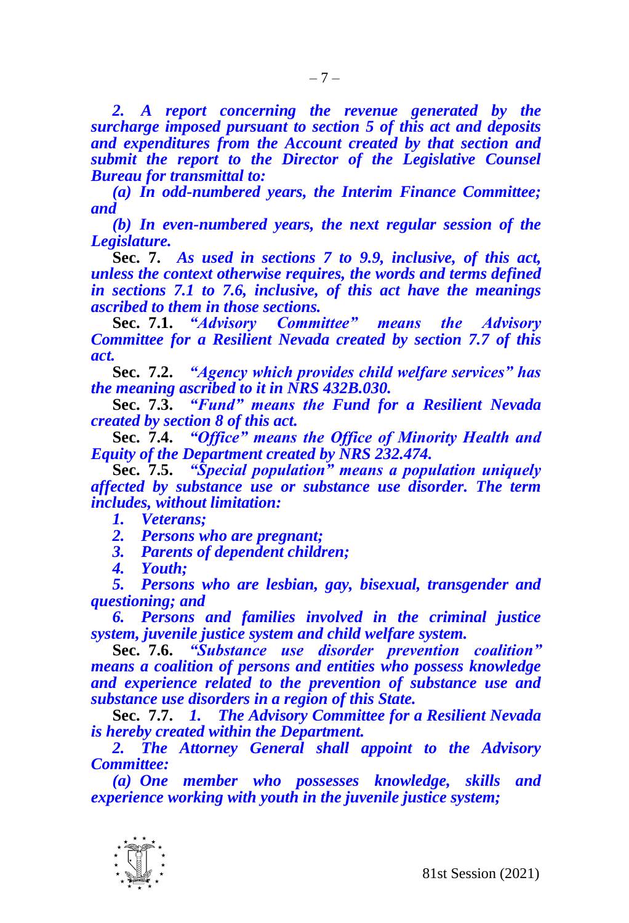*2. A report concerning the revenue generated by the surcharge imposed pursuant to section 5 of this act and deposits and expenditures from the Account created by that section and submit the report to the Director of the Legislative Counsel Bureau for transmittal to:*

*(a) In odd-numbered years, the Interim Finance Committee; and*

*(b) In even-numbered years, the next regular session of the Legislature.*

**Sec. 7.** *As used in sections 7 to 9.9, inclusive, of this act, unless the context otherwise requires, the words and terms defined in sections 7.1 to 7.6, inclusive, of this act have the meanings ascribed to them in those sections.*

**Sec. 7.1.** *"Advisory Committee" means the Advisory Committee for a Resilient Nevada created by section 7.7 of this act.*

**Sec. 7.2.** *"Agency which provides child welfare services" has the meaning ascribed to it in NRS 432B.030.*

**Sec. 7.3.** *"Fund" means the Fund for a Resilient Nevada created by section 8 of this act.*

**Sec. 7.4.** *"Office" means the Office of Minority Health and Equity of the Department created by NRS 232.474.*

**Sec. 7.5.** *"Special population" means a population uniquely affected by substance use or substance use disorder. The term includes, without limitation:*

*1. Veterans;*

*2. Persons who are pregnant;*

*3. Parents of dependent children;*

*4. Youth;*

*5. Persons who are lesbian, gay, bisexual, transgender and questioning; and* 

*6. Persons and families involved in the criminal justice system, juvenile justice system and child welfare system.*

**Sec. 7.6.** *"Substance use disorder prevention coalition" means a coalition of persons and entities who possess knowledge and experience related to the prevention of substance use and substance use disorders in a region of this State.*

**Sec. 7.7.** *1. The Advisory Committee for a Resilient Nevada is hereby created within the Department.*

*2. The Attorney General shall appoint to the Advisory Committee:*

*(a) One member who possesses knowledge, skills and experience working with youth in the juvenile justice system;*

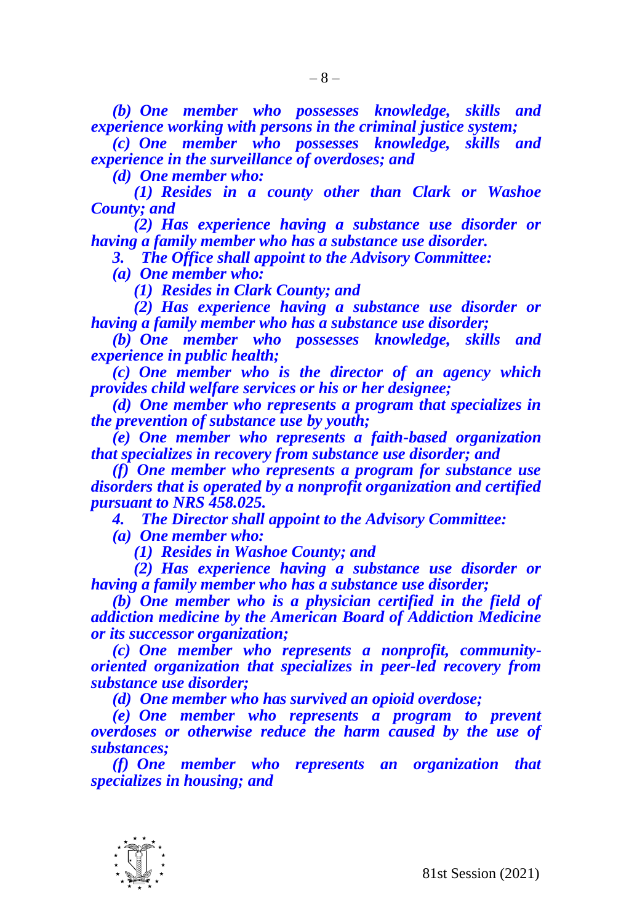*(b) One member who possesses knowledge, skills and experience working with persons in the criminal justice system;*

*(c) One member who possesses knowledge, skills and experience in the surveillance of overdoses; and*

*(d) One member who:*

*(1) Resides in a county other than Clark or Washoe County; and*

*(2) Has experience having a substance use disorder or having a family member who has a substance use disorder.*

*3. The Office shall appoint to the Advisory Committee:*

*(a) One member who:*

*(1) Resides in Clark County; and*

*(2) Has experience having a substance use disorder or having a family member who has a substance use disorder;*

*(b) One member who possesses knowledge, skills and experience in public health;*

*(c) One member who is the director of an agency which provides child welfare services or his or her designee;*

*(d) One member who represents a program that specializes in the prevention of substance use by youth;*

*(e) One member who represents a faith-based organization that specializes in recovery from substance use disorder; and*

*(f) One member who represents a program for substance use disorders that is operated by a nonprofit organization and certified pursuant to NRS 458.025.*

*4. The Director shall appoint to the Advisory Committee:*

*(a) One member who:*

*(1) Resides in Washoe County; and*

*(2) Has experience having a substance use disorder or having a family member who has a substance use disorder;*

*(b) One member who is a physician certified in the field of addiction medicine by the American Board of Addiction Medicine or its successor organization;*

*(c) One member who represents a nonprofit, communityoriented organization that specializes in peer-led recovery from substance use disorder;*

*(d) One member who has survived an opioid overdose;*

*(e) One member who represents a program to prevent overdoses or otherwise reduce the harm caused by the use of substances;*

*(f) One member who represents an organization that specializes in housing; and*

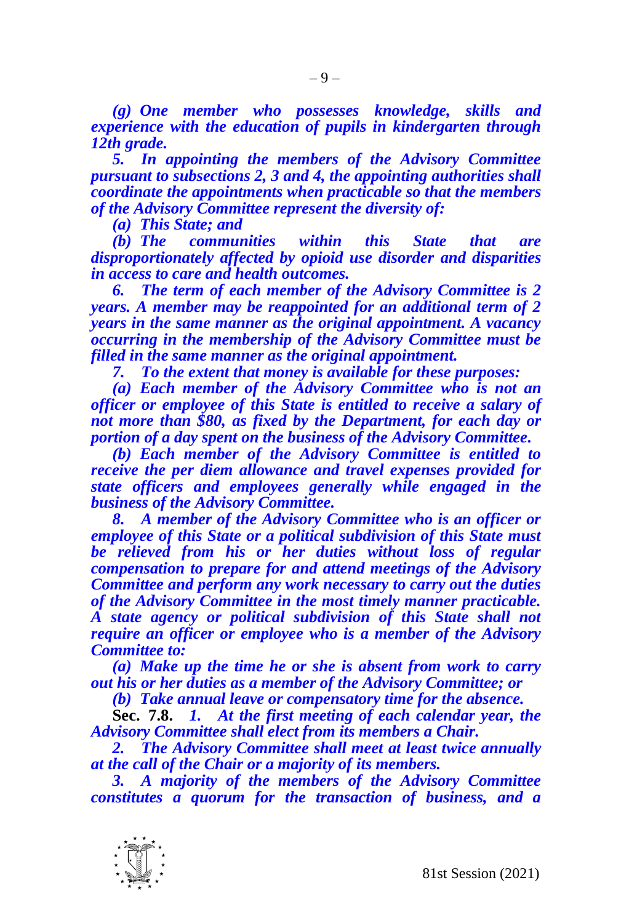*(g) One member who possesses knowledge, skills and experience with the education of pupils in kindergarten through 12th grade.*

*5. In appointing the members of the Advisory Committee pursuant to subsections 2, 3 and 4, the appointing authorities shall coordinate the appointments when practicable so that the members of the Advisory Committee represent the diversity of:*

*(a) This State; and*

*(b) The communities within this State that are disproportionately affected by opioid use disorder and disparities in access to care and health outcomes.*

*6. The term of each member of the Advisory Committee is 2 years. A member may be reappointed for an additional term of 2 years in the same manner as the original appointment. A vacancy occurring in the membership of the Advisory Committee must be filled in the same manner as the original appointment.*

*7. To the extent that money is available for these purposes:*

*(a) Each member of the Advisory Committee who is not an officer or employee of this State is entitled to receive a salary of not more than \$80, as fixed by the Department, for each day or portion of a day spent on the business of the Advisory Committee.*

*(b) Each member of the Advisory Committee is entitled to receive the per diem allowance and travel expenses provided for state officers and employees generally while engaged in the business of the Advisory Committee.*

*8. A member of the Advisory Committee who is an officer or employee of this State or a political subdivision of this State must be relieved from his or her duties without loss of regular compensation to prepare for and attend meetings of the Advisory Committee and perform any work necessary to carry out the duties of the Advisory Committee in the most timely manner practicable. A state agency or political subdivision of this State shall not require an officer or employee who is a member of the Advisory Committee to:*

*(a) Make up the time he or she is absent from work to carry out his or her duties as a member of the Advisory Committee; or*

*(b) Take annual leave or compensatory time for the absence.*

**Sec. 7.8.** *1. At the first meeting of each calendar year, the Advisory Committee shall elect from its members a Chair.*

*2. The Advisory Committee shall meet at least twice annually at the call of the Chair or a majority of its members.*

*3. A majority of the members of the Advisory Committee constitutes a quorum for the transaction of business, and a* 

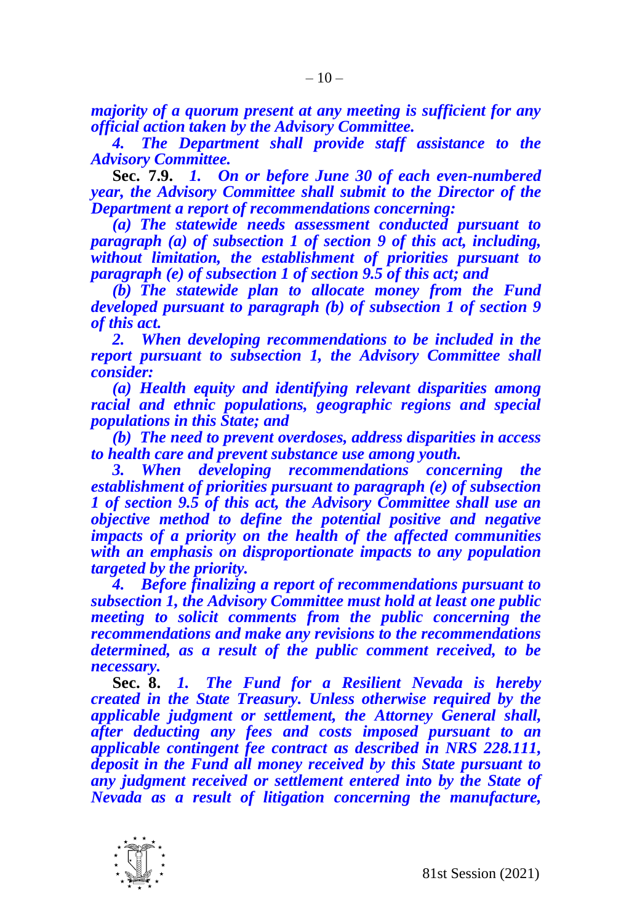*majority of a quorum present at any meeting is sufficient for any official action taken by the Advisory Committee.*

*4. The Department shall provide staff assistance to the Advisory Committee.*

**Sec. 7.9.** *1. On or before June 30 of each even-numbered year, the Advisory Committee shall submit to the Director of the Department a report of recommendations concerning:*

*(a) The statewide needs assessment conducted pursuant to paragraph (a) of subsection 1 of section 9 of this act, including, without limitation, the establishment of priorities pursuant to paragraph (e) of subsection 1 of section 9.5 of this act; and*

*(b) The statewide plan to allocate money from the Fund developed pursuant to paragraph (b) of subsection 1 of section 9 of this act.*

*2. When developing recommendations to be included in the report pursuant to subsection 1, the Advisory Committee shall consider:*

*(a) Health equity and identifying relevant disparities among racial and ethnic populations, geographic regions and special populations in this State; and*

*(b) The need to prevent overdoses, address disparities in access to health care and prevent substance use among youth.*

*3. When developing recommendations concerning the establishment of priorities pursuant to paragraph (e) of subsection 1 of section 9.5 of this act, the Advisory Committee shall use an objective method to define the potential positive and negative impacts of a priority on the health of the affected communities with an emphasis on disproportionate impacts to any population targeted by the priority.* 

*4. Before finalizing a report of recommendations pursuant to subsection 1, the Advisory Committee must hold at least one public meeting to solicit comments from the public concerning the recommendations and make any revisions to the recommendations determined, as a result of the public comment received, to be necessary.*

**Sec. 8.** *1. The Fund for a Resilient Nevada is hereby created in the State Treasury. Unless otherwise required by the applicable judgment or settlement, the Attorney General shall, after deducting any fees and costs imposed pursuant to an applicable contingent fee contract as described in NRS 228.111, deposit in the Fund all money received by this State pursuant to any judgment received or settlement entered into by the State of Nevada as a result of litigation concerning the manufacture,* 

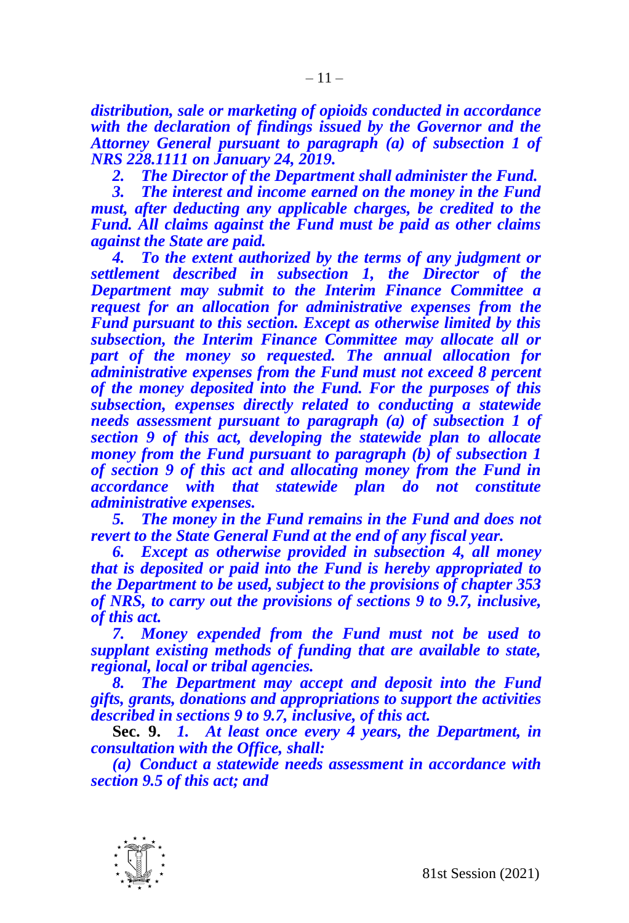*distribution, sale or marketing of opioids conducted in accordance with the declaration of findings issued by the Governor and the Attorney General pursuant to paragraph (a) of subsection 1 of NRS 228.1111 on January 24, 2019.*

*2. The Director of the Department shall administer the Fund.* 

*3. The interest and income earned on the money in the Fund must, after deducting any applicable charges, be credited to the Fund. All claims against the Fund must be paid as other claims against the State are paid.*

*4. To the extent authorized by the terms of any judgment or settlement described in subsection 1, the Director of the Department may submit to the Interim Finance Committee a request for an allocation for administrative expenses from the Fund pursuant to this section. Except as otherwise limited by this subsection, the Interim Finance Committee may allocate all or part of the money so requested. The annual allocation for administrative expenses from the Fund must not exceed 8 percent of the money deposited into the Fund. For the purposes of this subsection, expenses directly related to conducting a statewide needs assessment pursuant to paragraph (a) of subsection 1 of section 9 of this act, developing the statewide plan to allocate money from the Fund pursuant to paragraph (b) of subsection 1 of section 9 of this act and allocating money from the Fund in accordance with that statewide plan do not constitute administrative expenses.*

*5. The money in the Fund remains in the Fund and does not revert to the State General Fund at the end of any fiscal year.*

*6. Except as otherwise provided in subsection 4, all money that is deposited or paid into the Fund is hereby appropriated to the Department to be used, subject to the provisions of chapter 353 of NRS, to carry out the provisions of sections 9 to 9.7, inclusive, of this act.* 

*7. Money expended from the Fund must not be used to supplant existing methods of funding that are available to state, regional, local or tribal agencies.*

*8. The Department may accept and deposit into the Fund gifts, grants, donations and appropriations to support the activities described in sections 9 to 9.7, inclusive, of this act.*

**Sec. 9.** *1. At least once every 4 years, the Department, in consultation with the Office, shall:*

*(a) Conduct a statewide needs assessment in accordance with section 9.5 of this act; and*

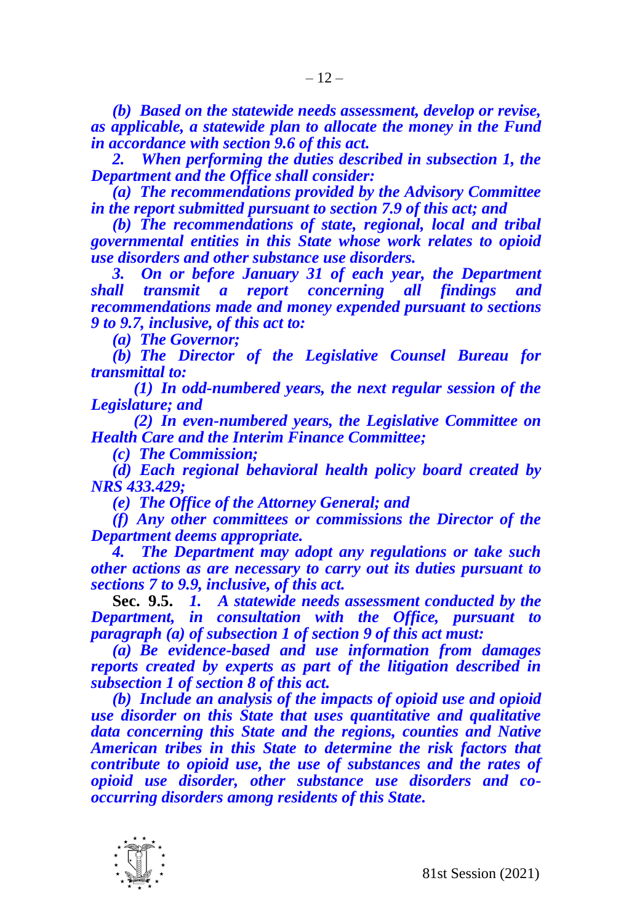*(b) Based on the statewide needs assessment, develop or revise, as applicable, a statewide plan to allocate the money in the Fund in accordance with section 9.6 of this act.*

*2. When performing the duties described in subsection 1, the Department and the Office shall consider:*

*(a) The recommendations provided by the Advisory Committee in the report submitted pursuant to section 7.9 of this act; and*

*(b) The recommendations of state, regional, local and tribal governmental entities in this State whose work relates to opioid use disorders and other substance use disorders.*

*3. On or before January 31 of each year, the Department shall transmit a report concerning all findings and recommendations made and money expended pursuant to sections 9 to 9.7, inclusive, of this act to:*

*(a) The Governor;* 

*(b) The Director of the Legislative Counsel Bureau for transmittal to:*

*(1) In odd-numbered years, the next regular session of the Legislature; and*

*(2) In even-numbered years, the Legislative Committee on Health Care and the Interim Finance Committee;*

*(c) The Commission;*

*(d) Each regional behavioral health policy board created by NRS 433.429;* 

*(e) The Office of the Attorney General; and*

*(f) Any other committees or commissions the Director of the Department deems appropriate.*

*4. The Department may adopt any regulations or take such other actions as are necessary to carry out its duties pursuant to sections 7 to 9.9, inclusive, of this act.*

**Sec. 9.5.** *1. A statewide needs assessment conducted by the Department, in consultation with the Office, pursuant to paragraph (a) of subsection 1 of section 9 of this act must:*

*(a) Be evidence-based and use information from damages reports created by experts as part of the litigation described in subsection 1 of section 8 of this act.*

*(b) Include an analysis of the impacts of opioid use and opioid use disorder on this State that uses quantitative and qualitative data concerning this State and the regions, counties and Native American tribes in this State to determine the risk factors that contribute to opioid use, the use of substances and the rates of opioid use disorder, other substance use disorders and cooccurring disorders among residents of this State.*

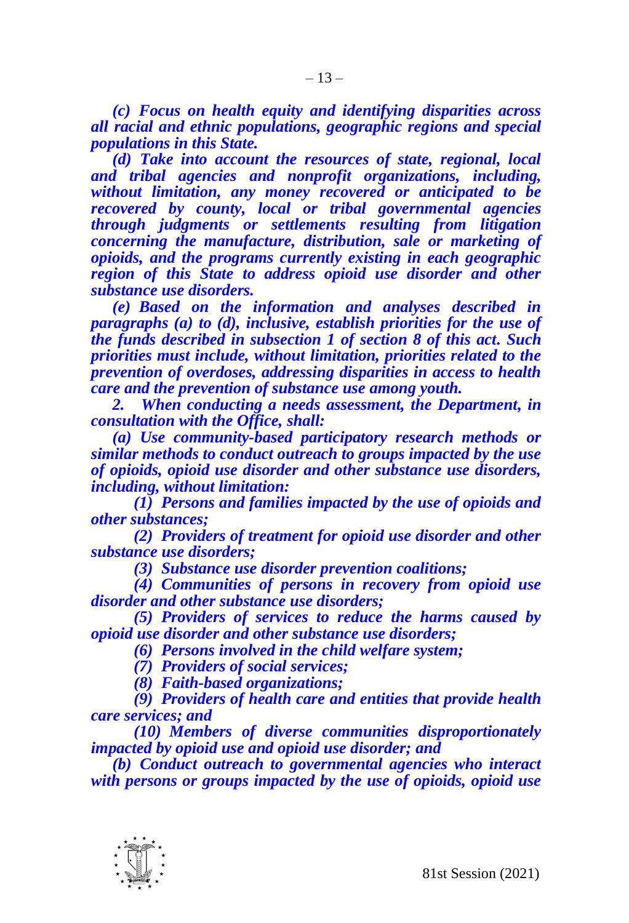*(c) Focus on health equity and identifying disparities across all racial and ethnic populations, geographic regions and special populations in this State.* 

*(d) Take into account the resources of state, regional, local and tribal agencies and nonprofit organizations, including, without limitation, any money recovered or anticipated to be recovered by county, local or tribal governmental agencies through judgments or settlements resulting from litigation concerning the manufacture, distribution, sale or marketing of opioids, and the programs currently existing in each geographic region of this State to address opioid use disorder and other substance use disorders.*

*(e) Based on the information and analyses described in paragraphs (a) to (d), inclusive, establish priorities for the use of the funds described in subsection 1 of section 8 of this act. Such priorities must include, without limitation, priorities related to the prevention of overdoses, addressing disparities in access to health care and the prevention of substance use among youth.*

*2. When conducting a needs assessment, the Department, in consultation with the Office, shall:*

*(a) Use community-based participatory research methods or similar methods to conduct outreach to groups impacted by the use of opioids, opioid use disorder and other substance use disorders, including, without limitation:*

*(1) Persons and families impacted by the use of opioids and other substances;*

*(2) Providers of treatment for opioid use disorder and other substance use disorders;*

*(3) Substance use disorder prevention coalitions;*

*(4) Communities of persons in recovery from opioid use disorder and other substance use disorders;*

*(5) Providers of services to reduce the harms caused by opioid use disorder and other substance use disorders;*

*(6) Persons involved in the child welfare system;*

*(7) Providers of social services;*

*(8) Faith-based organizations;*

*(9) Providers of health care and entities that provide health care services; and*

*(10) Members of diverse communities disproportionately impacted by opioid use and opioid use disorder; and*

*(b) Conduct outreach to governmental agencies who interact with persons or groups impacted by the use of opioids, opioid use* 

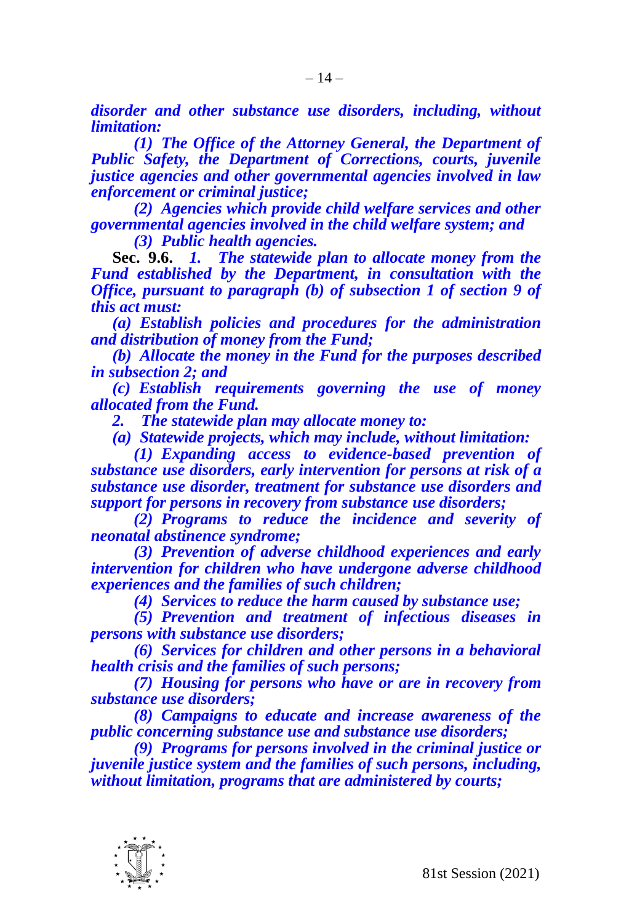*disorder and other substance use disorders, including, without limitation:*

*(1) The Office of the Attorney General, the Department of Public Safety, the Department of Corrections, courts, juvenile justice agencies and other governmental agencies involved in law enforcement or criminal justice;*

*(2) Agencies which provide child welfare services and other governmental agencies involved in the child welfare system; and*

*(3) Public health agencies.*

**Sec. 9.6.** *1. The statewide plan to allocate money from the Fund established by the Department, in consultation with the Office, pursuant to paragraph (b) of subsection 1 of section 9 of this act must:*

*(a) Establish policies and procedures for the administration and distribution of money from the Fund;*

*(b) Allocate the money in the Fund for the purposes described in subsection 2; and*

*(c) Establish requirements governing the use of money allocated from the Fund.*

*2. The statewide plan may allocate money to:*

*(a) Statewide projects, which may include, without limitation:*

*(1) Expanding access to evidence-based prevention of substance use disorders, early intervention for persons at risk of a substance use disorder, treatment for substance use disorders and support for persons in recovery from substance use disorders;*

*(2) Programs to reduce the incidence and severity of neonatal abstinence syndrome;*

*(3) Prevention of adverse childhood experiences and early intervention for children who have undergone adverse childhood experiences and the families of such children;*

*(4) Services to reduce the harm caused by substance use;*

*(5) Prevention and treatment of infectious diseases in persons with substance use disorders;*

*(6) Services for children and other persons in a behavioral health crisis and the families of such persons;*

*(7) Housing for persons who have or are in recovery from substance use disorders;*

*(8) Campaigns to educate and increase awareness of the public concerning substance use and substance use disorders;*

*(9) Programs for persons involved in the criminal justice or juvenile justice system and the families of such persons, including, without limitation, programs that are administered by courts;*

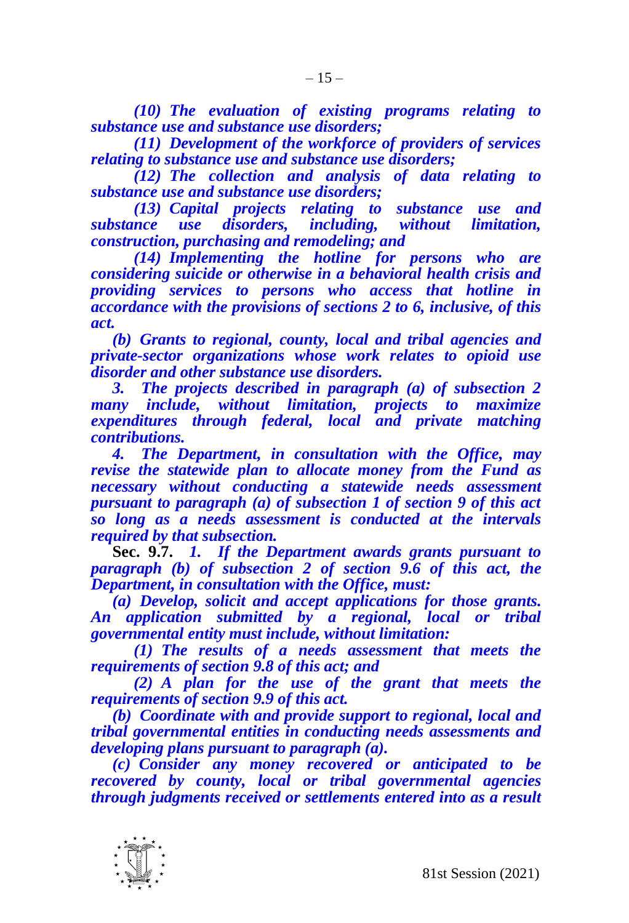*(10) The evaluation of existing programs relating to substance use and substance use disorders;*

*(11) Development of the workforce of providers of services relating to substance use and substance use disorders;*

*(12) The collection and analysis of data relating to substance use and substance use disorders;* 

*(13) Capital projects relating to substance use and substance use disorders, including, without limitation, construction, purchasing and remodeling; and*

*(14) Implementing the hotline for persons who are considering suicide or otherwise in a behavioral health crisis and providing services to persons who access that hotline in accordance with the provisions of sections 2 to 6, inclusive, of this act.*

*(b) Grants to regional, county, local and tribal agencies and private-sector organizations whose work relates to opioid use disorder and other substance use disorders.* 

*3. The projects described in paragraph (a) of subsection 2 many include, without limitation, projects to maximize expenditures through federal, local and private matching contributions.* 

*4. The Department, in consultation with the Office, may revise the statewide plan to allocate money from the Fund as necessary without conducting a statewide needs assessment pursuant to paragraph (a) of subsection 1 of section 9 of this act so long as a needs assessment is conducted at the intervals required by that subsection.* 

**Sec. 9.7.** *1. If the Department awards grants pursuant to paragraph (b) of subsection 2 of section 9.6 of this act, the Department, in consultation with the Office, must:*

*(a) Develop, solicit and accept applications for those grants. An application submitted by a regional, local or tribal governmental entity must include, without limitation:*

*(1) The results of a needs assessment that meets the requirements of section 9.8 of this act; and*

*(2) A plan for the use of the grant that meets the requirements of section 9.9 of this act.*

*(b) Coordinate with and provide support to regional, local and tribal governmental entities in conducting needs assessments and developing plans pursuant to paragraph (a).*

*(c) Consider any money recovered or anticipated to be recovered by county, local or tribal governmental agencies through judgments received or settlements entered into as a result* 

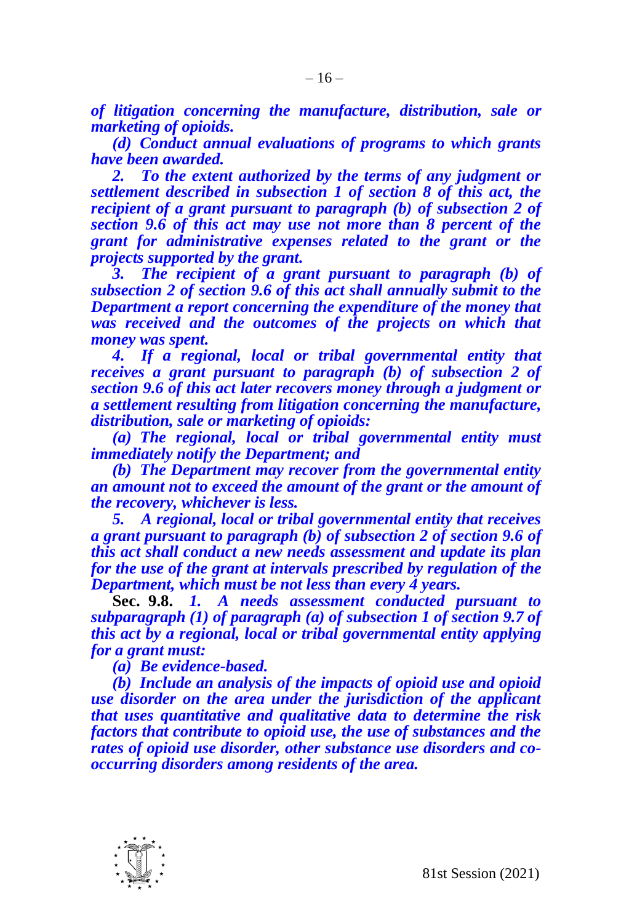*of litigation concerning the manufacture, distribution, sale or marketing of opioids.*

*(d) Conduct annual evaluations of programs to which grants have been awarded.*

*2. To the extent authorized by the terms of any judgment or settlement described in subsection 1 of section 8 of this act, the recipient of a grant pursuant to paragraph (b) of subsection 2 of section 9.6 of this act may use not more than 8 percent of the grant for administrative expenses related to the grant or the projects supported by the grant.*

*3. The recipient of a grant pursuant to paragraph (b) of subsection 2 of section 9.6 of this act shall annually submit to the Department a report concerning the expenditure of the money that was received and the outcomes of the projects on which that money was spent.*

*4. If a regional, local or tribal governmental entity that receives a grant pursuant to paragraph (b) of subsection 2 of section 9.6 of this act later recovers money through a judgment or a settlement resulting from litigation concerning the manufacture, distribution, sale or marketing of opioids:*

*(a) The regional, local or tribal governmental entity must immediately notify the Department; and*

*(b) The Department may recover from the governmental entity an amount not to exceed the amount of the grant or the amount of the recovery, whichever is less.*

*5. A regional, local or tribal governmental entity that receives a grant pursuant to paragraph (b) of subsection 2 of section 9.6 of this act shall conduct a new needs assessment and update its plan for the use of the grant at intervals prescribed by regulation of the Department, which must be not less than every 4 years.* 

**Sec. 9.8.** *1. A needs assessment conducted pursuant to subparagraph (1) of paragraph (a) of subsection 1 of section 9.7 of this act by a regional, local or tribal governmental entity applying for a grant must:* 

*(a) Be evidence-based.*

*(b) Include an analysis of the impacts of opioid use and opioid use disorder on the area under the jurisdiction of the applicant that uses quantitative and qualitative data to determine the risk factors that contribute to opioid use, the use of substances and the rates of opioid use disorder, other substance use disorders and cooccurring disorders among residents of the area.*

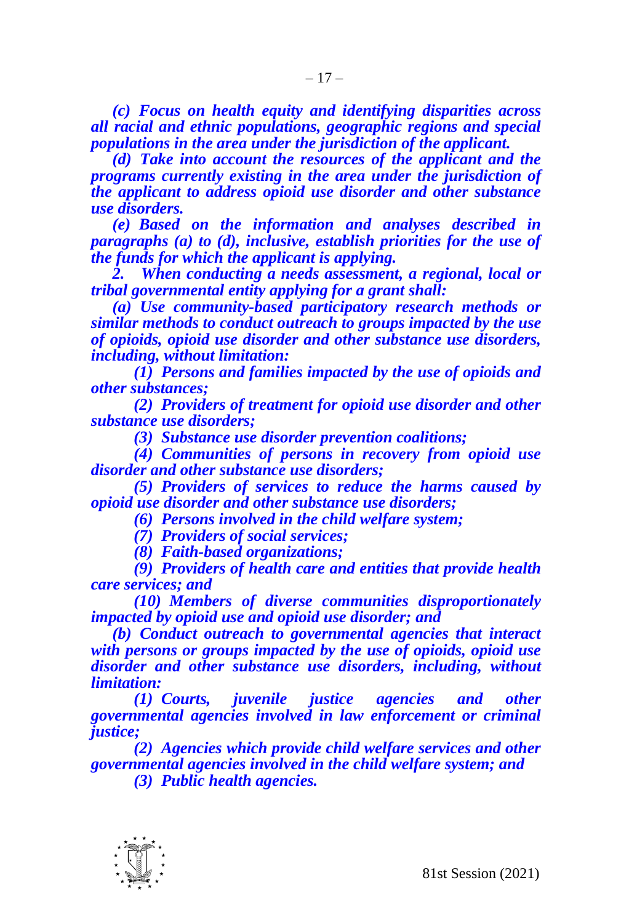*(c) Focus on health equity and identifying disparities across all racial and ethnic populations, geographic regions and special populations in the area under the jurisdiction of the applicant.*

*(d) Take into account the resources of the applicant and the programs currently existing in the area under the jurisdiction of the applicant to address opioid use disorder and other substance use disorders.*

*(e) Based on the information and analyses described in paragraphs (a) to (d), inclusive, establish priorities for the use of the funds for which the applicant is applying.*

*2. When conducting a needs assessment, a regional, local or tribal governmental entity applying for a grant shall:*

*(a) Use community-based participatory research methods or similar methods to conduct outreach to groups impacted by the use of opioids, opioid use disorder and other substance use disorders, including, without limitation:*

*(1) Persons and families impacted by the use of opioids and other substances;*

*(2) Providers of treatment for opioid use disorder and other substance use disorders;*

*(3) Substance use disorder prevention coalitions;*

*(4) Communities of persons in recovery from opioid use disorder and other substance use disorders;*

*(5) Providers of services to reduce the harms caused by opioid use disorder and other substance use disorders;*

*(6) Persons involved in the child welfare system;*

*(7) Providers of social services;*

*(8) Faith-based organizations;*

*(9) Providers of health care and entities that provide health care services; and*

*(10) Members of diverse communities disproportionately impacted by opioid use and opioid use disorder; and*

*(b) Conduct outreach to governmental agencies that interact with persons or groups impacted by the use of opioids, opioid use disorder and other substance use disorders, including, without limitation:*

*(1) Courts, juvenile justice agencies and other governmental agencies involved in law enforcement or criminal justice;*

*(2) Agencies which provide child welfare services and other governmental agencies involved in the child welfare system; and*

*(3) Public health agencies.*

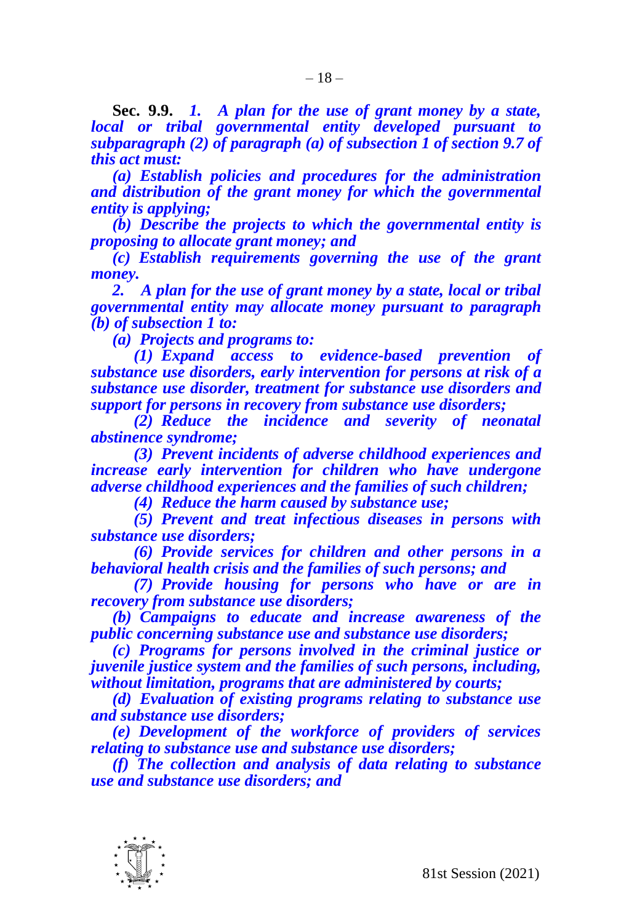**Sec. 9.9.** *1. A plan for the use of grant money by a state, local or tribal governmental entity developed pursuant to subparagraph (2) of paragraph (a) of subsection 1 of section 9.7 of this act must:*

*(a) Establish policies and procedures for the administration and distribution of the grant money for which the governmental entity is applying;*

*(b) Describe the projects to which the governmental entity is proposing to allocate grant money; and*

*(c) Establish requirements governing the use of the grant money.* 

*2. A plan for the use of grant money by a state, local or tribal governmental entity may allocate money pursuant to paragraph (b) of subsection 1 to:*

*(a) Projects and programs to:*

*(1) Expand access to evidence-based prevention of substance use disorders, early intervention for persons at risk of a substance use disorder, treatment for substance use disorders and support for persons in recovery from substance use disorders;*

*(2) Reduce the incidence and severity of neonatal abstinence syndrome;*

*(3) Prevent incidents of adverse childhood experiences and increase early intervention for children who have undergone adverse childhood experiences and the families of such children;*

*(4) Reduce the harm caused by substance use;*

*(5) Prevent and treat infectious diseases in persons with substance use disorders;*

*(6) Provide services for children and other persons in a behavioral health crisis and the families of such persons; and*

*(7) Provide housing for persons who have or are in recovery from substance use disorders;*

*(b) Campaigns to educate and increase awareness of the public concerning substance use and substance use disorders;*

*(c) Programs for persons involved in the criminal justice or juvenile justice system and the families of such persons, including, without limitation, programs that are administered by courts;*

*(d) Evaluation of existing programs relating to substance use and substance use disorders;*

*(e) Development of the workforce of providers of services relating to substance use and substance use disorders;*

*(f) The collection and analysis of data relating to substance use and substance use disorders; and*

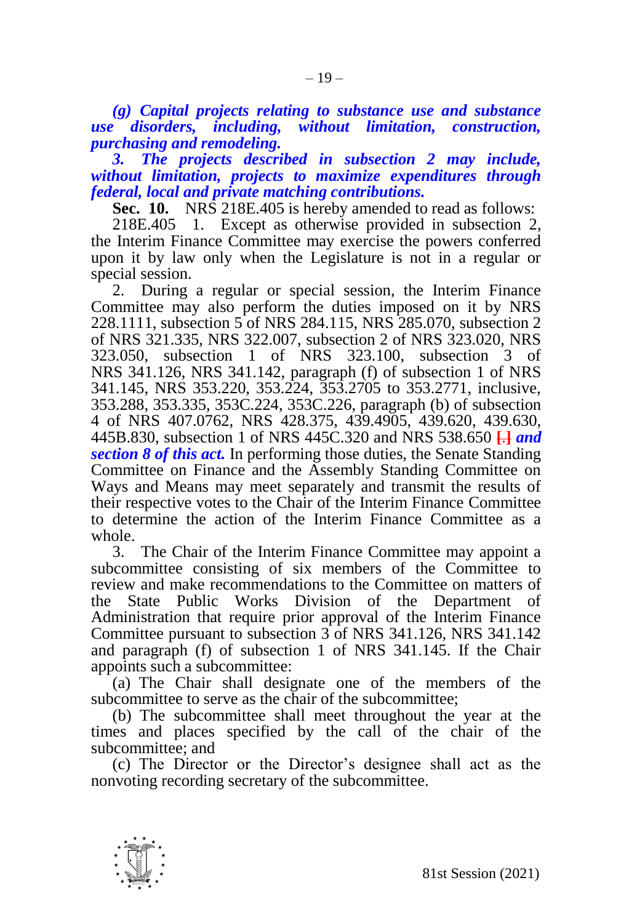*(g) Capital projects relating to substance use and substance use disorders, including, without limitation, construction, purchasing and remodeling.*

*3. The projects described in subsection 2 may include, without limitation, projects to maximize expenditures through federal, local and private matching contributions.* 

**Sec. 10.** NRS 218E.405 is hereby amended to read as follows:

218E.405 1. Except as otherwise provided in subsection 2, the Interim Finance Committee may exercise the powers conferred upon it by law only when the Legislature is not in a regular or special session.

2. During a regular or special session, the Interim Finance Committee may also perform the duties imposed on it by NRS 228.1111, subsection 5 of NRS 284.115, NRS 285.070, subsection 2 of NRS 321.335, NRS 322.007, subsection 2 of NRS 323.020, NRS 323.050, subsection 1 of NRS 323.100, subsection 3 of NRS 341.126, NRS 341.142, paragraph (f) of subsection 1 of NRS 341.145, NRS 353.220, 353.224, 353.2705 to 353.2771, inclusive, 353.288, 353.335, 353C.224, 353C.226, paragraph (b) of subsection 4 of NRS 407.0762, NRS 428.375, 439.4905, 439.620, 439.630, 445B.830, subsection 1 of NRS 445C.320 and NRS 538.650 **[**.**]** *and section 8 of this act.* In performing those duties, the Senate Standing Committee on Finance and the Assembly Standing Committee on Ways and Means may meet separately and transmit the results of their respective votes to the Chair of the Interim Finance Committee to determine the action of the Interim Finance Committee as a whole.

3. The Chair of the Interim Finance Committee may appoint a subcommittee consisting of six members of the Committee to review and make recommendations to the Committee on matters of the State Public Works Division of the Department of Administration that require prior approval of the Interim Finance Committee pursuant to subsection 3 of NRS 341.126, NRS 341.142 and paragraph (f) of subsection 1 of NRS 341.145. If the Chair appoints such a subcommittee:

(a) The Chair shall designate one of the members of the subcommittee to serve as the chair of the subcommittee;

(b) The subcommittee shall meet throughout the year at the times and places specified by the call of the chair of the subcommittee; and

(c) The Director or the Director's designee shall act as the nonvoting recording secretary of the subcommittee.

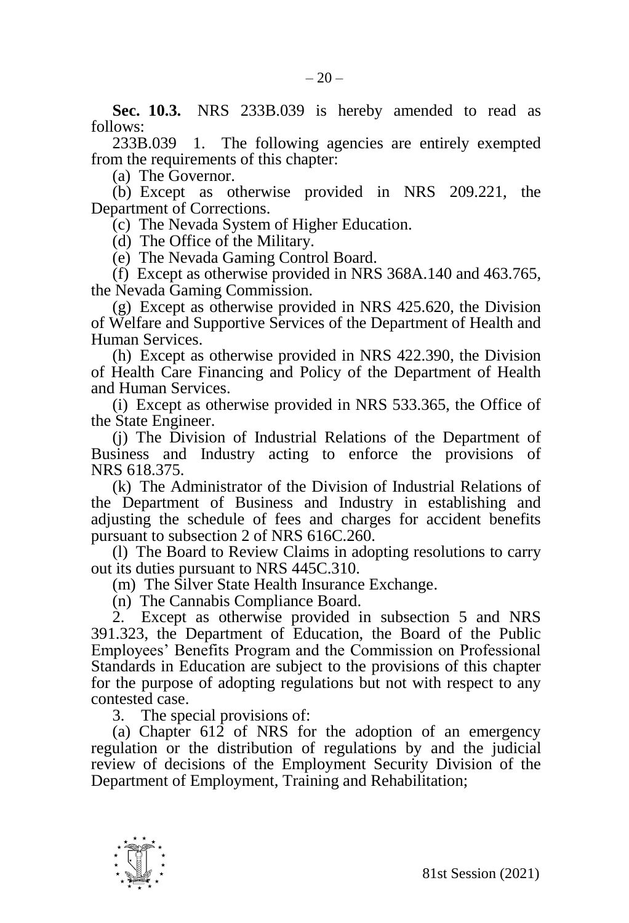**Sec. 10.3.** NRS 233B.039 is hereby amended to read as follows:

233B.039 1. The following agencies are entirely exempted from the requirements of this chapter:

(a) The Governor.

(b) Except as otherwise provided in NRS 209.221, the Department of Corrections.

(c) The Nevada System of Higher Education.

(d) The Office of the Military.

(e) The Nevada Gaming Control Board.

(f) Except as otherwise provided in NRS 368A.140 and 463.765, the Nevada Gaming Commission.

(g) Except as otherwise provided in NRS 425.620, the Division of Welfare and Supportive Services of the Department of Health and Human Services.

(h) Except as otherwise provided in NRS 422.390, the Division of Health Care Financing and Policy of the Department of Health and Human Services.

(i) Except as otherwise provided in NRS 533.365, the Office of the State Engineer.

(j) The Division of Industrial Relations of the Department of Business and Industry acting to enforce the provisions of NRS 618.375.

(k) The Administrator of the Division of Industrial Relations of the Department of Business and Industry in establishing and adjusting the schedule of fees and charges for accident benefits pursuant to subsection 2 of NRS 616C.260.

(l) The Board to Review Claims in adopting resolutions to carry out its duties pursuant to NRS 445C.310.

(m) The Silver State Health Insurance Exchange.

(n) The Cannabis Compliance Board.

2. Except as otherwise provided in subsection 5 and NRS 391.323, the Department of Education, the Board of the Public Employees' Benefits Program and the Commission on Professional Standards in Education are subject to the provisions of this chapter for the purpose of adopting regulations but not with respect to any contested case.

3. The special provisions of:

(a) Chapter 612 of NRS for the adoption of an emergency regulation or the distribution of regulations by and the judicial review of decisions of the Employment Security Division of the Department of Employment, Training and Rehabilitation;

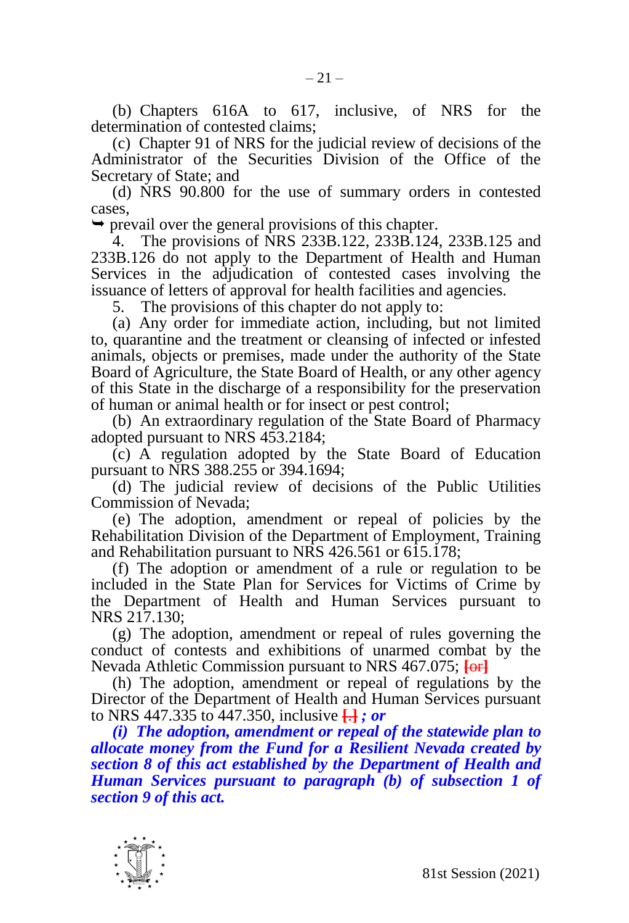(b) Chapters 616A to 617, inclusive, of NRS for the determination of contested claims;

(c) Chapter 91 of NRS for the judicial review of decisions of the Administrator of the Securities Division of the Office of the Secretary of State; and

(d) NRS 90.800 for the use of summary orders in contested cases,

 $\rightarrow$  prevail over the general provisions of this chapter.

4. The provisions of NRS 233B.122, 233B.124, 233B.125 and 233B.126 do not apply to the Department of Health and Human Services in the adjudication of contested cases involving the issuance of letters of approval for health facilities and agencies.

5. The provisions of this chapter do not apply to:

(a) Any order for immediate action, including, but not limited to, quarantine and the treatment or cleansing of infected or infested animals, objects or premises, made under the authority of the State Board of Agriculture, the State Board of Health, or any other agency of this State in the discharge of a responsibility for the preservation of human or animal health or for insect or pest control;

(b) An extraordinary regulation of the State Board of Pharmacy adopted pursuant to NRS 453.2184;

(c) A regulation adopted by the State Board of Education pursuant to NRS 388.255 or 394.1694;

(d) The judicial review of decisions of the Public Utilities Commission of Nevada;

(e) The adoption, amendment or repeal of policies by the Rehabilitation Division of the Department of Employment, Training and Rehabilitation pursuant to NRS 426.561 or 615.178;

(f) The adoption or amendment of a rule or regulation to be included in the State Plan for Services for Victims of Crime by the Department of Health and Human Services pursuant to NRS 217.130;

(g) The adoption, amendment or repeal of rules governing the conduct of contests and exhibitions of unarmed combat by the Nevada Athletic Commission pursuant to NRS 467.075; **[**or**]**

(h) The adoption, amendment or repeal of regulations by the Director of the Department of Health and Human Services pursuant to NRS 447.335 to 447.350, inclusive **[**.**]** *; or*

*(i) The adoption, amendment or repeal of the statewide plan to allocate money from the Fund for a Resilient Nevada created by section 8 of this act established by the Department of Health and Human Services pursuant to paragraph (b) of subsection 1 of section 9 of this act.*

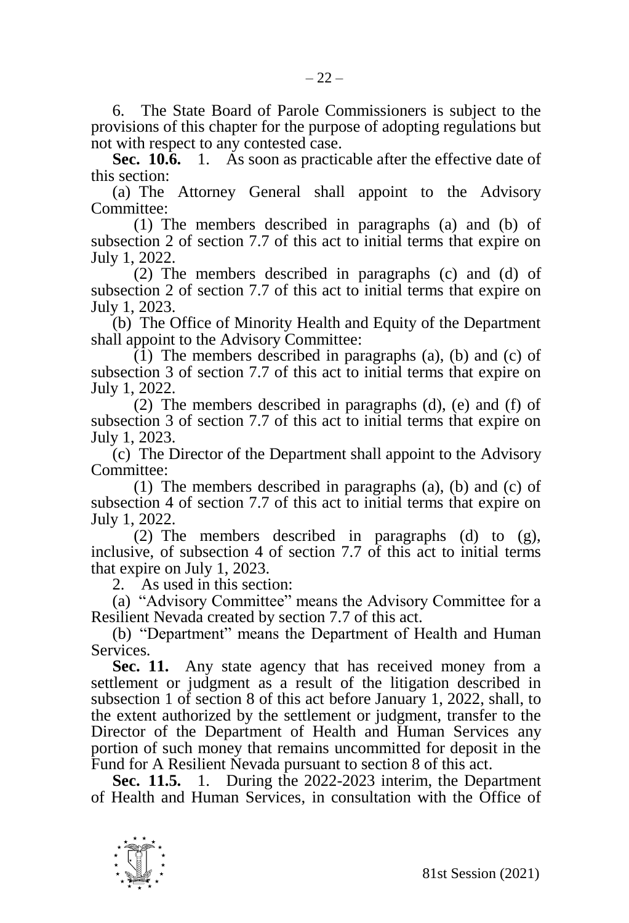6. The State Board of Parole Commissioners is subject to the provisions of this chapter for the purpose of adopting regulations but not with respect to any contested case.

**Sec. 10.6.** 1. As soon as practicable after the effective date of this section:

(a) The Attorney General shall appoint to the Advisory Committee:

(1) The members described in paragraphs (a) and (b) of subsection 2 of section 7.7 of this act to initial terms that expire on July 1, 2022.

(2) The members described in paragraphs (c) and (d) of subsection 2 of section 7.7 of this act to initial terms that expire on July 1, 2023.

(b) The Office of Minority Health and Equity of the Department shall appoint to the Advisory Committee:

 $(1)$  The members described in paragraphs (a), (b) and (c) of subsection 3 of section 7.7 of this act to initial terms that expire on July 1, 2022.

(2) The members described in paragraphs (d), (e) and (f) of subsection 3 of section 7.7 of this act to initial terms that expire on July 1, 2023.

(c) The Director of the Department shall appoint to the Advisory Committee:

(1) The members described in paragraphs (a), (b) and (c) of subsection 4 of section 7.7 of this act to initial terms that expire on July 1, 2022.

(2) The members described in paragraphs (d) to (g), inclusive, of subsection 4 of section 7.7 of this act to initial terms that expire on July 1, 2023.

2. As used in this section:

(a) "Advisory Committee" means the Advisory Committee for a Resilient Nevada created by section 7.7 of this act.

(b) "Department" means the Department of Health and Human Services.

**Sec. 11.** Any state agency that has received money from a settlement or judgment as a result of the litigation described in subsection 1 of section 8 of this act before January 1, 2022, shall, to the extent authorized by the settlement or judgment, transfer to the Director of the Department of Health and Human Services any portion of such money that remains uncommitted for deposit in the Fund for A Resilient Nevada pursuant to section 8 of this act.

**Sec. 11.5.** 1. During the 2022-2023 interim, the Department of Health and Human Services, in consultation with the Office of